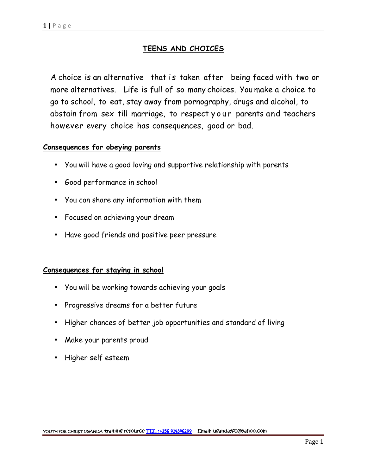## **TEENS AND CHOICES**

A choice is an alternative that is taken after being faced with two or more alternatives. Life is full of so many choices. You make a choice to go to school, to eat, stay away from pornography, drugs and alcohol, to abstain from sex till marriage, to respect your parents and teachers however every choice has consequences, good or bad.

## **Consequences for obeying parents**

- You will have a good loving and supportive relationship with parents
- Good performance in school
- You can share any information with them
- Focused on achieving your dream
- Have good friends and positive peer pressure

### **Consequences for staying in school**

- You will be working towards achieving your goals
- Progressive dreams for a better future
- Higher chances of better job opportunities and standard of living
- Make your parents proud
- Higher self esteem